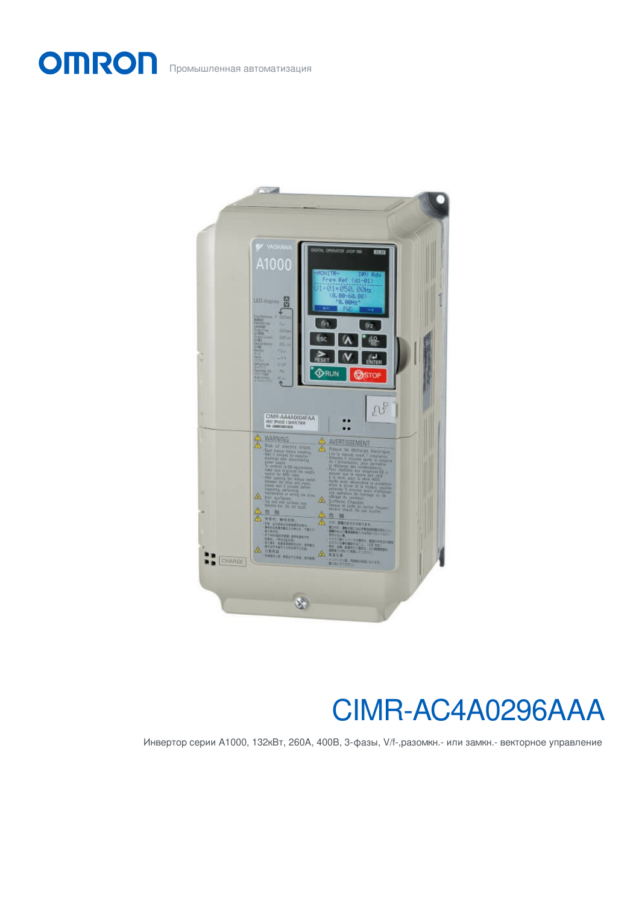Промышленная автоматизация

**OMRON** 



# CIMR-AC4A0296AAA

Инвертор серии A1000, 132кВт, 260А, 400В, 3-фазы, V/f-,разомкн.- или замкн.- векторное управление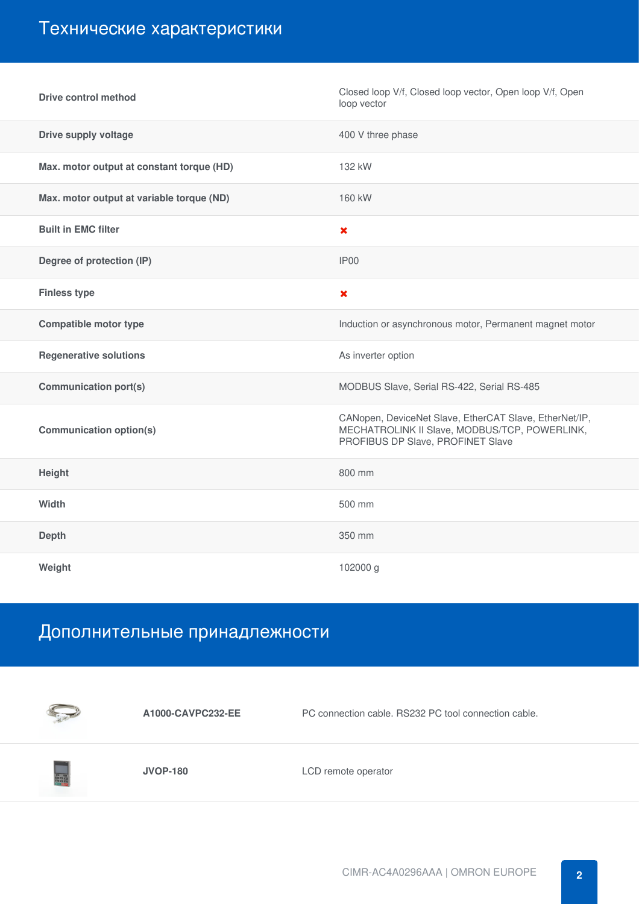### Технические характеристики

| <b>Drive control method</b>               | Closed loop V/f, Closed loop vector, Open loop V/f, Open<br>loop vector                                                                      |
|-------------------------------------------|----------------------------------------------------------------------------------------------------------------------------------------------|
| <b>Drive supply voltage</b>               | 400 V three phase                                                                                                                            |
| Max. motor output at constant torque (HD) | 132 kW                                                                                                                                       |
| Max. motor output at variable torque (ND) | 160 kW                                                                                                                                       |
| <b>Built in EMC filter</b>                | $\boldsymbol{\mathsf{x}}$                                                                                                                    |
| Degree of protection (IP)                 | IP <sub>00</sub>                                                                                                                             |
| <b>Finless type</b>                       | $\boldsymbol{\mathsf{x}}$                                                                                                                    |
| <b>Compatible motor type</b>              | Induction or asynchronous motor, Permanent magnet motor                                                                                      |
| <b>Regenerative solutions</b>             | As inverter option                                                                                                                           |
| <b>Communication port(s)</b>              | MODBUS Slave, Serial RS-422, Serial RS-485                                                                                                   |
| <b>Communication option(s)</b>            | CANopen, DeviceNet Slave, EtherCAT Slave, EtherNet/IP,<br>MECHATROLINK II Slave, MODBUS/TCP, POWERLINK,<br>PROFIBUS DP Slave, PROFINET Slave |
| Height                                    | 800 mm                                                                                                                                       |
| Width                                     | 500 mm                                                                                                                                       |
| <b>Depth</b>                              | 350 mm                                                                                                                                       |
| Weight                                    | 102000 g                                                                                                                                     |

## Дополнительные принадлежности



**A1000-CAVPC232-EE** PC connection cable. RS232 PC tool connection cable.



**JVOP-180** LCD remote operator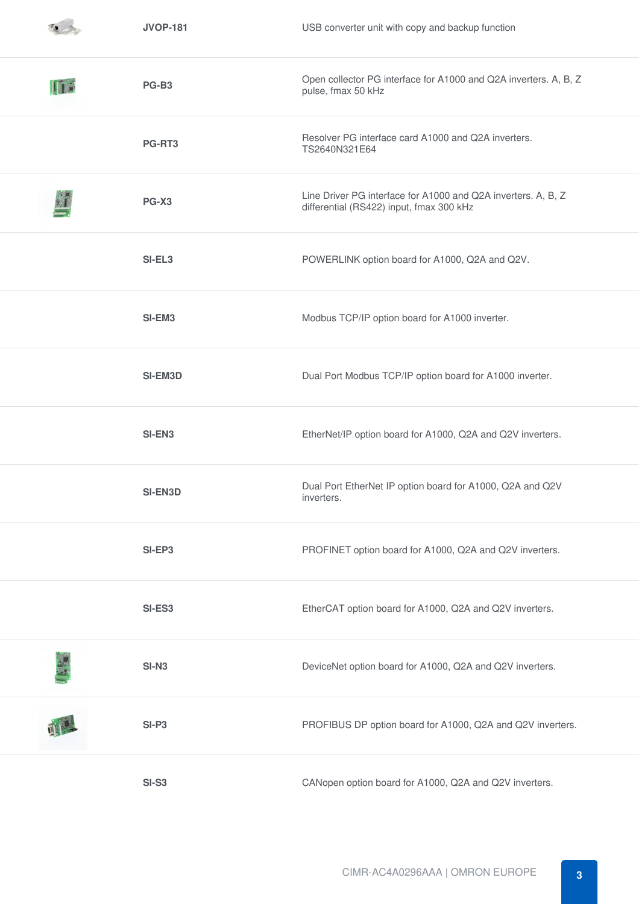|    | <b>JVOP-181</b> | USB converter unit with copy and backup function                                                          |
|----|-----------------|-----------------------------------------------------------------------------------------------------------|
| Îr | PG-B3           | Open collector PG interface for A1000 and Q2A inverters. A, B, Z<br>pulse, fmax 50 kHz                    |
|    | PG-RT3          | Resolver PG interface card A1000 and Q2A inverters.<br>TS2640N321E64                                      |
|    | PG-X3           | Line Driver PG interface for A1000 and Q2A inverters. A, B, Z<br>differential (RS422) input, fmax 300 kHz |
|    | SI-EL3          | POWERLINK option board for A1000, Q2A and Q2V.                                                            |
|    | SI-EM3          | Modbus TCP/IP option board for A1000 inverter.                                                            |
|    | <b>SI-EM3D</b>  | Dual Port Modbus TCP/IP option board for A1000 inverter.                                                  |
|    | SI-EN3          | EtherNet/IP option board for A1000, Q2A and Q2V inverters.                                                |
|    | <b>SI-EN3D</b>  | Dual Port EtherNet IP option board for A1000, Q2A and Q2V<br>inverters.                                   |
|    | SI-EP3          | PROFINET option board for A1000, Q2A and Q2V inverters.                                                   |
|    | SI-ES3          | EtherCAT option board for A1000, Q2A and Q2V inverters.                                                   |
|    | <b>SI-N3</b>    | DeviceNet option board for A1000, Q2A and Q2V inverters.                                                  |
|    | $SI-P3$         | PROFIBUS DP option board for A1000, Q2A and Q2V inverters.                                                |
|    | <b>SI-S3</b>    | CANopen option board for A1000, Q2A and Q2V inverters.                                                    |